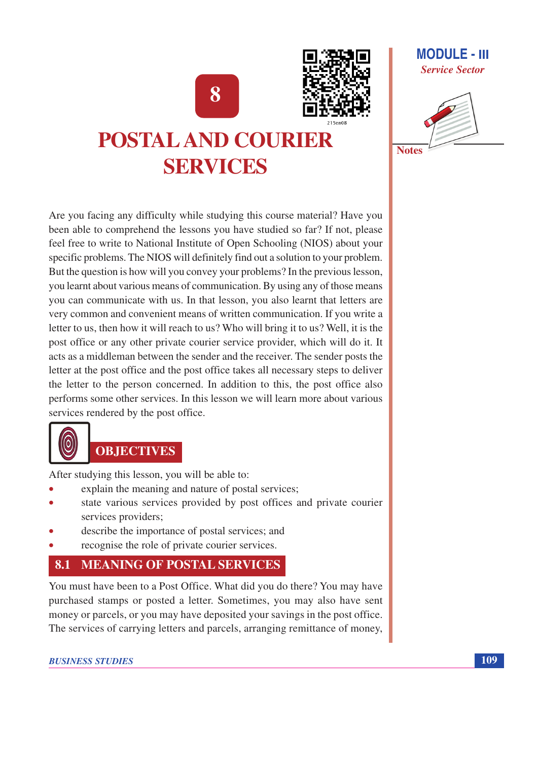8



### **MODULE - III Service Sector**



# **POSTAL AND COURIER SERVICES**

Are you facing any difficulty while studying this course material? Have you been able to comprehend the lessons you have studied so far? If not, please feel free to write to National Institute of Open Schooling (NIOS) about your specific problems. The NIOS will definitely find out a solution to your problem. But the question is how will you convey your problems? In the previous lesson, you learnt about various means of communication. By using any of those means you can communicate with us. In that lesson, you also learnt that letters are very common and convenient means of written communication. If you write a letter to us, then how it will reach to us? Who will bring it to us? Well, it is the post office or any other private courier service provider, which will do it. It acts as a middleman between the sender and the receiver. The sender posts the letter at the post office and the post office takes all necessary steps to deliver the letter to the person concerned. In addition to this, the post office also performs some other services. In this lesson we will learn more about various services rendered by the post office.



# **OBJECTIVES**

After studying this lesson, you will be able to:

- explain the meaning and nature of postal services;
- state various services provided by post offices and private courier services providers;
- describe the importance of postal services; and
- recognise the role of private courier services.

#### **MEANING OF POSTAL SERVICES** 8.1

You must have been to a Post Office. What did you do there? You may have purchased stamps or posted a letter. Sometimes, you may also have sent money or parcels, or you may have deposited your savings in the post office. The services of carrying letters and parcels, arranging remittance of money,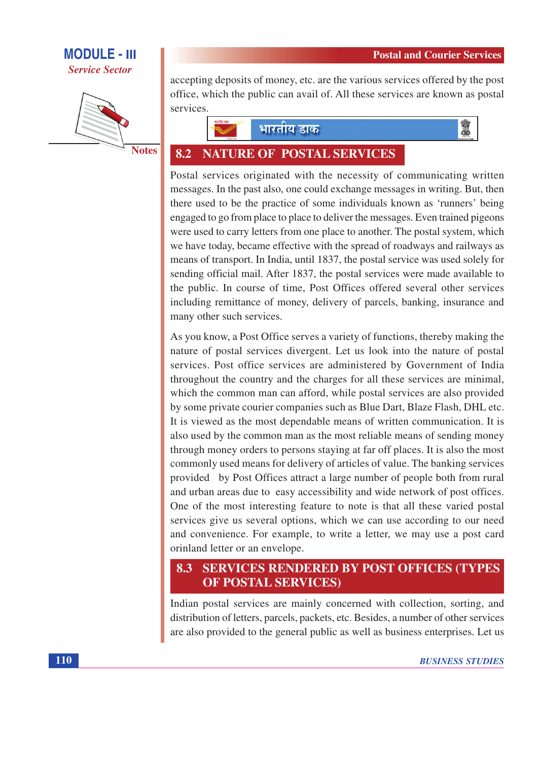



**Notes** 

accepting deposits of money, etc. are the various services offered by the post office, which the public can avail of. All these services are known as postal services.





#### 8.2 **NATURE OF POSTAL SERVICES**

Postal services originated with the necessity of communicating written messages. In the past also, one could exchange messages in writing. But, then there used to be the practice of some individuals known as 'runners' being engaged to go from place to place to deliver the messages. Even trained pigeons were used to carry letters from one place to another. The postal system, which we have today, became effective with the spread of roadways and railways as means of transport. In India, until 1837, the postal service was used solely for sending official mail. After 1837, the postal services were made available to the public. In course of time, Post Offices offered several other services including remittance of money, delivery of parcels, banking, insurance and many other such services.

As you know, a Post Office serves a variety of functions, thereby making the nature of postal services divergent. Let us look into the nature of postal services. Post office services are administered by Government of India throughout the country and the charges for all these services are minimal, which the common man can afford, while postal services are also provided by some private courier companies such as Blue Dart, Blaze Flash, DHL etc. It is viewed as the most dependable means of written communication. It is also used by the common man as the most reliable means of sending money through money orders to persons staying at far off places. It is also the most commonly used means for delivery of articles of value. The banking services provided by Post Offices attract a large number of people both from rural and urban areas due to easy accessibility and wide network of post offices. One of the most interesting feature to note is that all these varied postal services give us several options, which we can use according to our need and convenience. For example, to write a letter, we may use a post card orinland letter or an envelope.

### **8.3 SERVICES RENDERED BY POST OFFICES (TYPES) OF POSTAL SERVICES)**

Indian postal services are mainly concerned with collection, sorting, and distribution of letters, parcels, packets, etc. Besides, a number of other services are also provided to the general public as well as business enterprises. Let us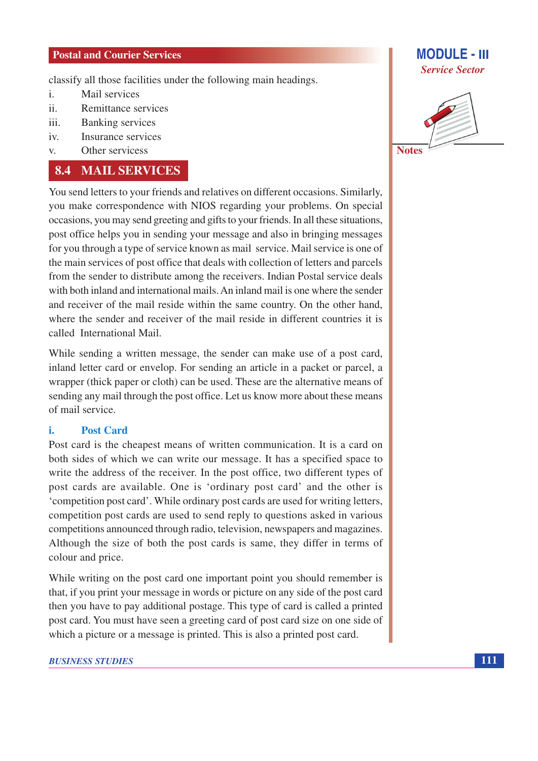classify all those facilities under the following main headings.

- Mail services  $\mathbf{i}$ .
- $ii$ Remittance services
- **Banking services**  $\mathbf{iii}$
- Insurance services  $iv.$
- Other servicess  $V_{\cdot}$

### **8.4 MAIL SERVICES**

You send letters to your friends and relatives on different occasions. Similarly, you make correspondence with NIOS regarding your problems. On special occasions, you may send greeting and gifts to your friends. In all these situations, post office helps you in sending your message and also in bringing messages for you through a type of service known as mail service. Mail service is one of the main services of post office that deals with collection of letters and parcels from the sender to distribute among the receivers. Indian Postal service deals with both inland and international mails. An inland mail is one where the sender and receiver of the mail reside within the same country. On the other hand, where the sender and receiver of the mail reside in different countries it is called International Mail

While sending a written message, the sender can make use of a post card, inland letter card or envelop. For sending an article in a packet or parcel, a wrapper (thick paper or cloth) can be used. These are the alternative means of sending any mail through the post office. Let us know more about these means of mail service.

#### **Post Card** i.

Post card is the cheapest means of written communication. It is a card on both sides of which we can write our message. It has a specified space to write the address of the receiver. In the post office, two different types of post cards are available. One is 'ordinary post card' and the other is 'competition post card'. While ordinary post cards are used for writing letters, competition post cards are used to send reply to questions asked in various competitions announced through radio, television, newspapers and magazines. Although the size of both the post cards is same, they differ in terms of colour and price.

While writing on the post card one important point you should remember is that, if you print your message in words or picture on any side of the post card then you have to pay additional postage. This type of card is called a printed post card. You must have seen a greeting card of post card size on one side of which a picture or a message is printed. This is also a printed post card.



**MODULE - III** 

**Service Sector** 

**Notes**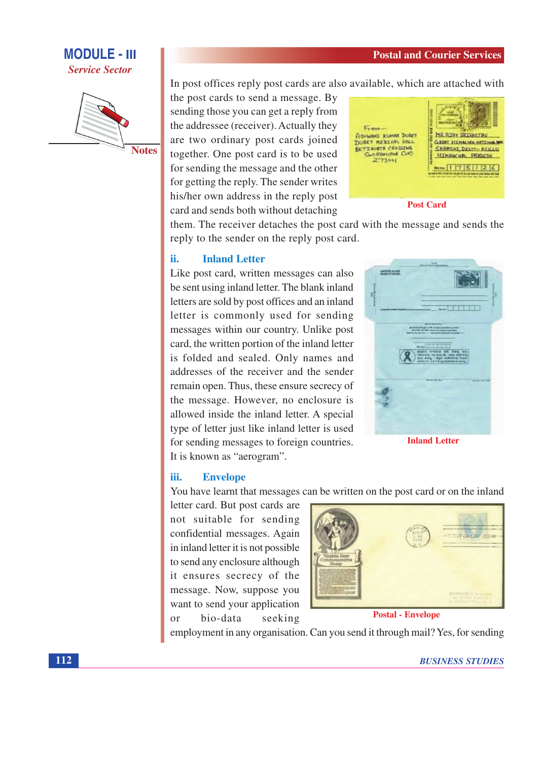

**Notes** 

In post offices reply post cards are also available, which are attached with

the post cards to send a message. By sending those you can get a reply from the addressee (receiver). Actually they are two ordinary post cards joined together. One post card is to be used for sending the message and the other for getting the reply. The sender writes his/her own address in the reply post card and sends both without detaching



**Post Card** 

them. The receiver detaches the post card with the message and sends the reply to the sender on the reply post card.

#### ii. **Inland Letter**

Like post card, written messages can also be sent using inland letter. The blank inland letters are sold by post offices and an inland letter is commonly used for sending messages within our country. Unlike post card, the written portion of the inland letter is folded and sealed. Only names and addresses of the receiver and the sender remain open. Thus, these ensure secrecy of the message. However, no enclosure is allowed inside the inland letter. A special type of letter just like inland letter is used for sending messages to foreign countries. It is known as "aerogram".



**Inland Letter** 

#### iii. **Envelope**

You have learnt that messages can be written on the post card or on the inland

letter card. But post cards are not suitable for sending confidential messages. Again in inland letter it is not possible. to send any enclosure although it ensures secrecy of the message. Now, suppose you want to send your application bio-data seeking  $\alpha$ r



**Postal - Envelope** 

employment in any organisation. Can you send it through mail? Yes, for sending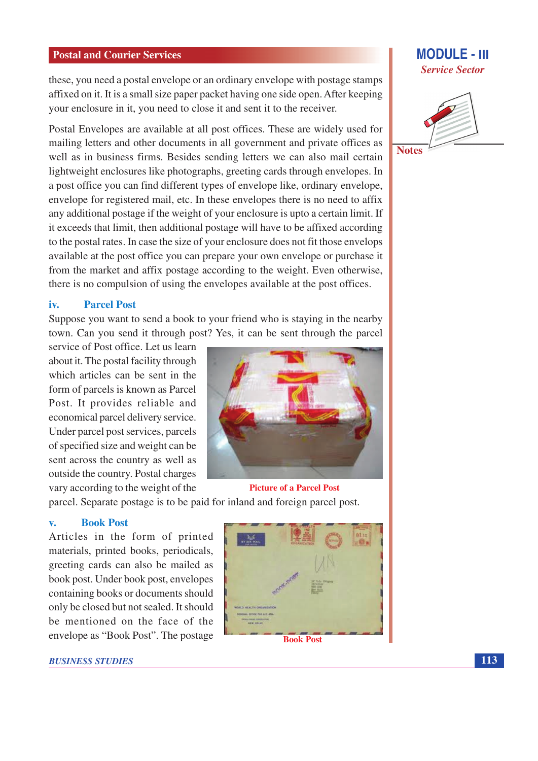these, you need a postal envelope or an ordinary envelope with postage stamps affixed on it. It is a small size paper packet having one side open. After keeping your enclosure in it, you need to close it and sent it to the receiver.

Postal Envelopes are available at all post offices. These are widely used for mailing letters and other documents in all government and private offices as well as in business firms. Besides sending letters we can also mail certain lightweight enclosures like photographs, greeting cards through envelopes. In a post office you can find different types of envelope like, ordinary envelope, envelope for registered mail, etc. In these envelopes there is no need to affix any additional postage if the weight of your enclosure is upto a certain limit. If it exceeds that limit, then additional postage will have to be affixed according to the postal rates. In case the size of your enclosure does not fit those envelops available at the post office you can prepare your own envelope or purchase it from the market and affix postage according to the weight. Even otherwise, there is no compulsion of using the envelopes available at the post offices.

#### iv. **Parcel Post**

Suppose you want to send a book to your friend who is staying in the nearby town. Can you send it through post? Yes, it can be sent through the parcel

service of Post office. Let us learn about it. The postal facility through which articles can be sent in the form of parcels is known as Parcel Post. It provides reliable and economical parcel delivery service. Under parcel post services, parcels of specified size and weight can be sent across the country as well as outside the country. Postal charges vary according to the weight of the



parcel. Separate postage is to be paid for inland and foreign parcel post.

#### **Book Post**  $\overline{\mathbf{v}}$ .

Articles in the form of printed materials, printed books, periodicals, greeting cards can also be mailed as book post. Under book post, envelopes containing books or documents should only be closed but not sealed. It should be mentioned on the face of the envelope as "Book Post". The postage



**BUSINESS STUDIES** 



**MODULE - III** 

**Notes** 

113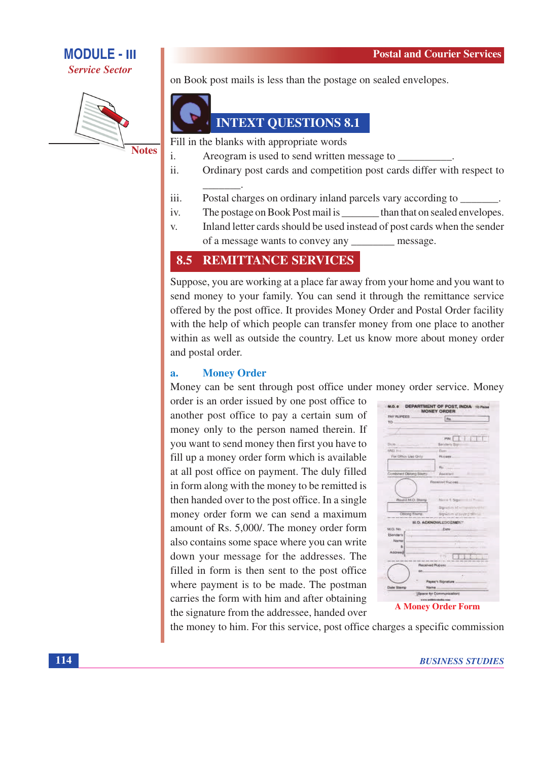

**Notes** 

on Book post mails is less than the postage on sealed envelopes.



## **INTEXT QUESTIONS 8.1**

Fill in the blanks with appropriate words

- $\mathbf{i}$ Areogram is used to send written message to
- Ordinary post cards and competition post cards differ with respect to  $ii.$
- iii. Postal charges on ordinary inland parcels vary according to \_\_\_\_\_\_\_.
- The postage on Book Post mail is than that on sealed envelopes. iv.
- Inland letter cards should be used instead of post cards when the sender  $V_{\star}$ of a message wants to convey any message.

#### **REMITTANCE SERVICES** 8.5

Suppose, you are working at a place far away from your home and you want to send money to your family. You can send it through the remittance service offered by the post office. It provides Money Order and Postal Order facility with the help of which people can transfer money from one place to another within as well as outside the country. Let us know more about money order and postal order.

#### **Money Order**  $\overline{a}$ .

Money can be sent through post office under money order service. Money

order is an order issued by one post office to another post office to pay a certain sum of money only to the person named therein. If you want to send money then first you have to fill up a money order form which is available at all post office on payment. The duly filled in form along with the money to be remitted is then handed over to the post office. In a single money order form we can send a maximum amount of Rs. 5,000/. The money order form also contains some space where you can write down your message for the addresses. The filled in form is then sent to the post office where payment is to be made. The postman carries the form with him and after obtaining the signature from the addressee, handed over

| <b>INV RUPEES :</b>        | <b>I</b> the                |
|----------------------------|-----------------------------|
| TO:                        |                             |
|                            |                             |
|                            |                             |
|                            | ma:1                        |
| Dollar.                    | Senders 3                   |
| <b>MOLT</b> IN             | Date:                       |
| For Office Use Only        | Ricetti.                    |
|                            |                             |
|                            | Fts.                        |
| Combined Obland Starro     | Assistant                   |
|                            | Repaired Ruciess            |
|                            |                             |
|                            |                             |
| <b>Plought M.O. Starry</b> | March 1. New 111 P          |
|                            |                             |
|                            | Signation of an opportunity |
| Oblong Elseng              | Bywam alsoying stime        |
|                            | <b>H.O. ACKNOWLEDGEMENT</b> |
| <b>M.O. No.</b>            | Date:                       |
| <b>ISensers</b>            |                             |
| 120006                     |                             |
|                            | z                           |
| Address                    |                             |
|                            | $7 - 81$                    |
|                            |                             |
|                            | Received Rupens             |
| DOL:                       |                             |
|                            | Payer's Signature           |
|                            |                             |

**A Money Order Form** 

the money to him. For this service, post office charges a specific commission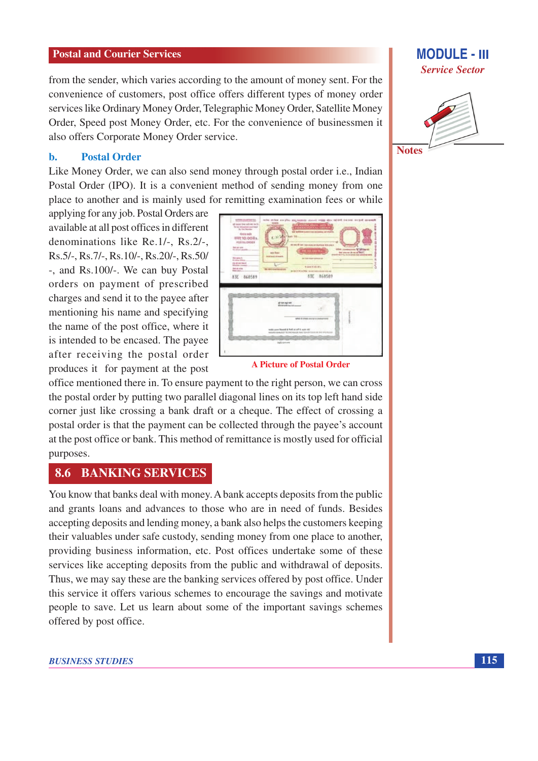from the sender, which varies according to the amount of money sent. For the convenience of customers, post office offers different types of money order services like Ordinary Money Order, Telegraphic Money Order, Satellite Money Order, Speed post Money Order, etc. For the convenience of businessmen it also offers Corporate Money Order service.

#### **Postal Order** b.

Like Money Order, we can also send money through postal order i.e., Indian Postal Order (IPO). It is a convenient method of sending money from one place to another and is mainly used for remitting examination fees or while

applying for any job. Postal Orders are available at all post offices in different denominations like Re.1/-, Rs.2/-, Rs.5/-, Rs.7/-, Rs.10/-, Rs.20/-, Rs.50/ -, and Rs.100/-. We can buy Postal orders on payment of prescribed charges and send it to the payee after mentioning his name and specifying the name of the post office, where it is intended to be encased. The payee after receiving the postal order produces it for payment at the post

AVE SCARAS ATE BEASES

**A Picture of Postal Order** 

office mentioned there in. To ensure payment to the right person, we can cross the postal order by putting two parallel diagonal lines on its top left hand side corner just like crossing a bank draft or a cheque. The effect of crossing a postal order is that the payment can be collected through the payee's account at the post office or bank. This method of remittance is mostly used for official purposes.

#### **BANKING SERVICES** 8.6

You know that banks deal with money. A bank accepts deposits from the public and grants loans and advances to those who are in need of funds. Besides accepting deposits and lending money, a bank also helps the customers keeping their valuables under safe custody, sending money from one place to another, providing business information, etc. Post offices undertake some of these services like accepting deposits from the public and withdrawal of deposits. Thus, we may say these are the banking services offered by post office. Under this service it offers various schemes to encourage the savings and motivate people to save. Let us learn about some of the important savings schemes offered by post office.

### **MODULE - III Service Sector**





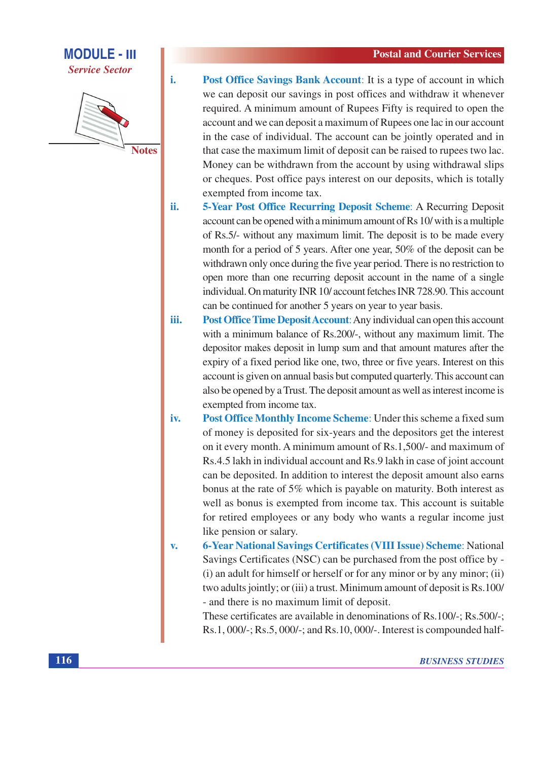

i.



**Post Office Savings Bank Account:** It is a type of account in which we can deposit our savings in post offices and withdraw it whenever required. A minimum amount of Rupees Fifty is required to open the account and we can deposit a maximum of Rupees one lac in our account in the case of individual. The account can be jointly operated and in that case the maximum limit of deposit can be raised to rupees two lac. Money can be withdrawn from the account by using withdrawal slips or cheques. Post office pays interest on our deposits, which is totally exempted from income tax.

- ii. 5-Year Post Office Recurring Deposit Scheme: A Recurring Deposit account can be opened with a minimum amount of Rs 10/ with is a multiple of Rs.5/- without any maximum limit. The deposit is to be made every month for a period of 5 years. After one year, 50% of the deposit can be withdrawn only once during the five year period. There is no restriction to open more than one recurring deposit account in the name of a single individual. On maturity INR 10/ account fetches INR 728.90. This account can be continued for another 5 years on year to year basis.
- iii. **Post Office Time Deposit Account:** Any individual can open this account with a minimum balance of Rs.200/-, without any maximum limit. The depositor makes deposit in lump sum and that amount matures after the expiry of a fixed period like one, two, three or five years. Interest on this account is given on annual basis but computed quarterly. This account can also be opened by a Trust. The deposit amount as well as interest income is exempted from income tax.
- Post Office Monthly Income Scheme: Under this scheme a fixed sum iv. of money is deposited for six-years and the depositors get the interest on it every month. A minimum amount of Rs.1,500/- and maximum of Rs.4.5 lakh in individual account and Rs.9 lakh in case of joint account can be deposited. In addition to interest the deposit amount also earns bonus at the rate of 5% which is payable on maturity. Both interest as well as bonus is exempted from income tax. This account is suitable for retired employees or any body who wants a regular income just like pension or salary.

**6-Year National Savings Certificates (VIII Issue) Scheme: National**  $\mathbf{v}$ . Savings Certificates (NSC) can be purchased from the post office by -(i) an adult for himself or herself or for any minor or by any minor; (ii) two adults jointly; or (iii) a trust. Minimum amount of deposit is Rs.100/ - and there is no maximum limit of deposit.

These certificates are available in denominations of Rs.100/-; Rs.500/-; Rs.1, 000/-; Rs.5, 000/-; and Rs.10, 000/-. Interest is compounded half-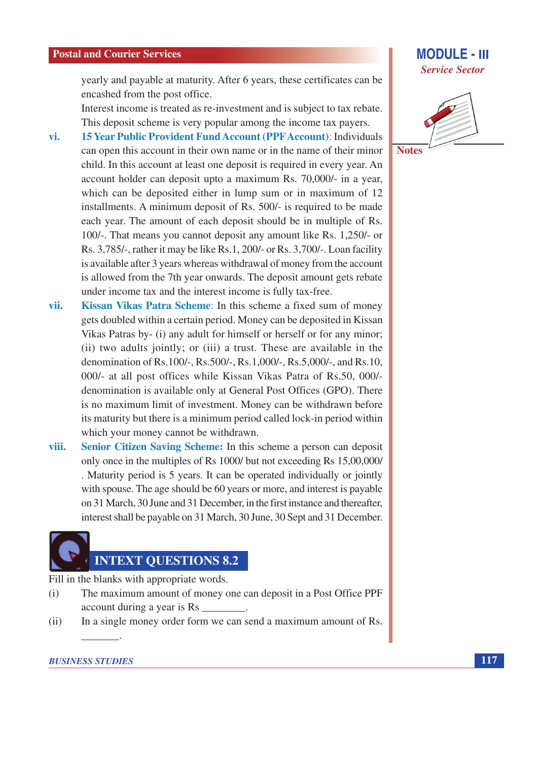**MODULE - III Service Sector** 

yearly and payable at maturity. After 6 years, these certificates can be encashed from the post office.

Interest income is treated as re-investment and is subject to tax rebate. This deposit scheme is very popular among the income tax payers.

- **15 Year Public Provident Fund Account (PPF Account): Individuals** vi. can open this account in their own name or in the name of their minor child. In this account at least one deposit is required in every year. An account holder can deposit upto a maximum Rs. 70,000/- in a year, which can be deposited either in lump sum or in maximum of 12 installments. A minimum deposit of Rs. 500/- is required to be made each year. The amount of each deposit should be in multiple of Rs. 100/-. That means you cannot deposit any amount like Rs. 1.250/- or Rs. 3,785/-, rather it may be like Rs. 1, 200/- or Rs. 3,700/-. Loan facility is available after 3 years whereas withdrawal of money from the account is allowed from the 7th year onwards. The deposit amount gets rebate under income tax and the interest income is fully tax-free.
- vii. Kissan Vikas Patra Scheme: In this scheme a fixed sum of money gets doubled within a certain period. Money can be deposited in Kissan Vikas Patras by- (i) any adult for himself or herself or for any minor; (ii) two adults jointly; or (iii) a trust. These are available in the denomination of Rs.100/-, Rs.500/-, Rs.1,000/-, Rs.5,000/-, and Rs.10, 000/- at all post offices while Kissan Vikas Patra of Rs.50, 000/denomination is available only at General Post Offices (GPO). There is no maximum limit of investment. Money can be withdrawn before its maturity but there is a minimum period called lock-in period within which your money cannot be withdrawn.
- Senior Citizen Saving Scheme: In this scheme a person can deposit viii. only once in the multiples of Rs 1000/ but not exceeding Rs 15,00,000/ . Maturity period is 5 years. It can be operated individually or jointly with spouse. The age should be 60 years or more, and interest is payable on 31 March, 30 June and 31 December, in the first instance and thereafter, interest shall be payable on 31 March, 30 June, 30 Sept and 31 December.

## **INTEXT OUESTIONS 8.2**

Fill in the blanks with appropriate words.

- The maximum amount of money one can deposit in a Post Office PPF  $(i)$ account during a year is Rs \_\_
- In a single money order form we can send a maximum amount of Rs.  $(ii)$

### **BUSINESS STUDIES**

**Notes**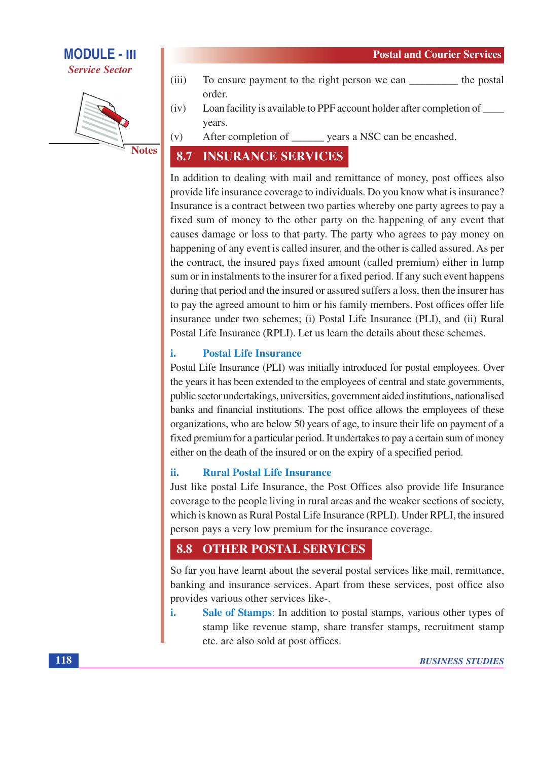**Service Sector** 

- **Notes**
- $(iii)$ To ensure payment to the right person we can the postal order.
- Loan facility is available to PPF account holder after completion of \_\_\_\_\_  $(iv)$ years.
- After completion of \_\_\_\_\_\_\_\_ years a NSC can be encashed.  $(v)$

#### **INSURANCE SERVICES** 8.7

In addition to dealing with mail and remittance of money, post offices also provide life insurance coverage to individuals. Do you know what is insurance? Insurance is a contract between two parties whereby one party agrees to pay a fixed sum of money to the other party on the happening of any event that causes damage or loss to that party. The party who agrees to pay money on happening of any event is called insurer, and the other is called assured. As per the contract, the insured pays fixed amount (called premium) either in lump sum or in instalments to the insurer for a fixed period. If any such event happens during that period and the insured or assured suffers a loss, then the insurer has to pay the agreed amount to him or his family members. Post offices offer life insurance under two schemes; (i) Postal Life Insurance (PLI), and (ii) Rural Postal Life Insurance (RPLI). Let us learn the details about these schemes.

#### i. **Postal Life Insurance**

Postal Life Insurance (PLI) was initially introduced for postal employees. Over the years it has been extended to the employees of central and state governments, public sector undertakings, universities, government aided institutions, nationalised banks and financial institutions. The post office allows the employees of these organizations, who are below 50 years of age, to insure their life on payment of a fixed premium for a particular period. It undertakes to pay a certain sum of money either on the death of the insured or on the expiry of a specified period.

#### **Rural Postal Life Insurance** ii.

Just like postal Life Insurance, the Post Offices also provide life Insurance coverage to the people living in rural areas and the weaker sections of society, which is known as Rural Postal Life Insurance (RPLI). Under RPLI, the insured person pays a very low premium for the insurance coverage.

#### 8.8 **OTHER POSTAL SERVICES**

So far you have learnt about the several postal services like mail, remittance, banking and insurance services. Apart from these services, post office also provides various other services like-.

Sale of Stamps: In addition to postal stamps, various other types of i. stamp like revenue stamp, share transfer stamps, recruitment stamp etc. are also sold at post offices.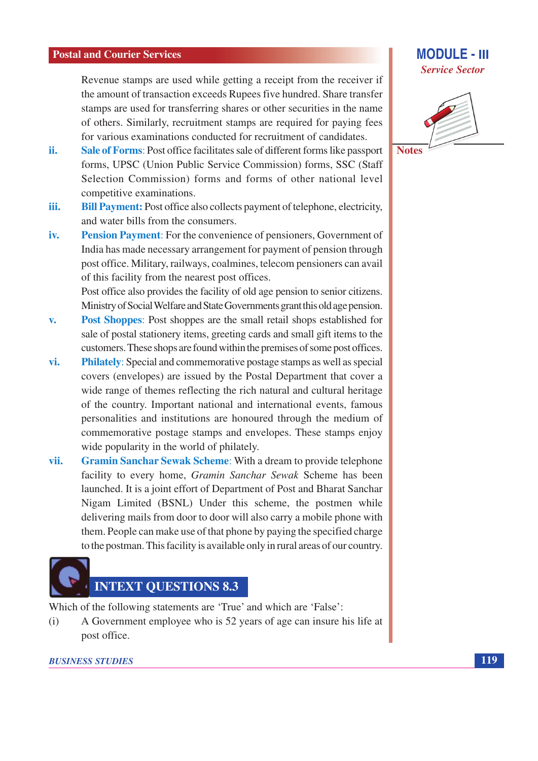Revenue stamps are used while getting a receipt from the receiver if the amount of transaction exceeds Rupees five hundred. Share transfer stamps are used for transferring shares or other securities in the name of others. Similarly, recruitment stamps are required for paying fees for various examinations conducted for recruitment of candidates.

- ii. Sale of Forms: Post office facilitates sale of different forms like passport forms, UPSC (Union Public Service Commission) forms, SSC (Staff Selection Commission) forms and forms of other national level competitive examinations.
- Bill Payment: Post office also collects payment of telephone, electricity, iii. and water bills from the consumers.
- **Pension Payment:** For the convenience of pensioners, Government of iv. India has made necessary arrangement for payment of pension through post office. Military, railways, coalmines, telecom pensioners can avail of this facility from the nearest post offices.

Post office also provides the facility of old age pension to senior citizens. Ministry of Social Welfare and State Governments grant this old age pension.

- **Post Shoppes:** Post shoppes are the small retail shops established for  $\mathbf{v}$ . sale of postal stationery items, greeting cards and small gift items to the customers. These shops are found within the premises of some post offices.
- **Philately:** Special and commemorative postage stamps as well as special vi. covers (envelopes) are issued by the Postal Department that cover a wide range of themes reflecting the rich natural and cultural heritage of the country. Important national and international events, famous personalities and institutions are honoured through the medium of commemorative postage stamps and envelopes. These stamps enjoy wide popularity in the world of philately.
- **Gramin Sanchar Sewak Scheme:** With a dream to provide telephone vii. facility to every home, Gramin Sanchar Sewak Scheme has been launched. It is a joint effort of Department of Post and Bharat Sanchar Nigam Limited (BSNL) Under this scheme, the postmen while delivering mails from door to door will also carry a mobile phone with them. People can make use of that phone by paying the specified charge to the postman. This facility is available only in rural areas of our country.



Which of the following statements are 'True' and which are 'False':

A Government employee who is 52 years of age can insure his life at  $(i)$ post office.



**MODULE - III** 

**Service Sector** 

**Notes** 

**119**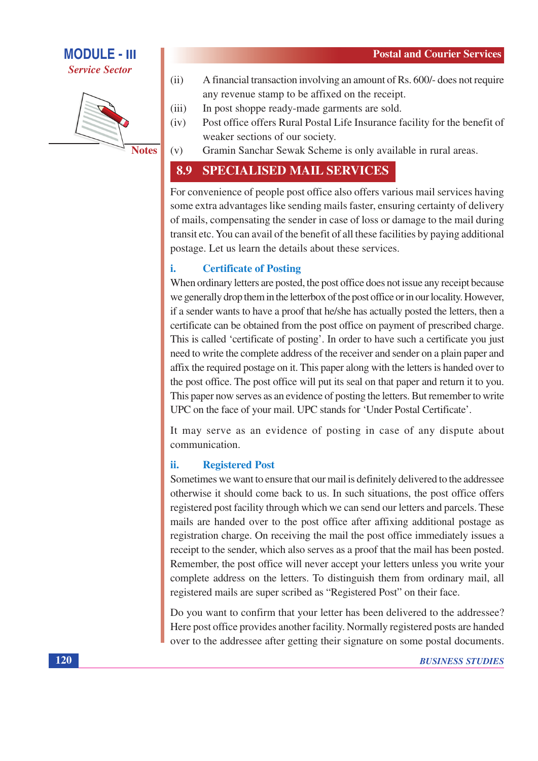**Service Sector** 



**Notes** 

 $(v)$ 

- $(ii)$ A financial transaction involving an amount of Rs. 600/- does not require any revenue stamp to be affixed on the receipt.
- In post shoppe ready-made garments are sold.  $(iii)$
- Post office offers Rural Postal Life Insurance facility for the benefit of  $(iv)$ weaker sections of our society.
	- Gramin Sanchar Sewak Scheme is only available in rural areas.

#### 8.9 **SPECIALISED MAIL SERVICES**

For convenience of people post office also offers various mail services having some extra advantages like sending mails faster, ensuring certainty of delivery of mails, compensating the sender in case of loss or damage to the mail during transit etc. You can avail of the benefit of all these facilities by paying additional postage. Let us learn the details about these services.

#### i. **Certificate of Posting**

When ordinary letters are posted, the post office does not issue any receipt because we generally drop them in the letterbox of the post office or in our locality. However, if a sender wants to have a proof that he/she has actually posted the letters, then a certificate can be obtained from the post office on payment of prescribed charge. This is called 'certificate of posting'. In order to have such a certificate you just need to write the complete address of the receiver and sender on a plain paper and affix the required postage on it. This paper along with the letters is handed over to the post office. The post office will put its seal on that paper and return it to you. This paper now serves as an evidence of posting the letters. But remember to write UPC on the face of your mail. UPC stands for 'Under Postal Certificate'.

It may serve as an evidence of posting in case of any dispute about communication.

#### ii. **Registered Post**

Sometimes we want to ensure that our mail is definitely delivered to the addressee otherwise it should come back to us. In such situations, the post office offers registered post facility through which we can send our letters and parcels. These mails are handed over to the post office after affixing additional postage as registration charge. On receiving the mail the post office immediately issues a receipt to the sender, which also serves as a proof that the mail has been posted. Remember, the post office will never accept your letters unless you write your complete address on the letters. To distinguish them from ordinary mail, all registered mails are super scribed as "Registered Post" on their face.

Do you want to confirm that your letter has been delivered to the addressee? Here post office provides another facility. Normally registered posts are handed over to the addressee after getting their signature on some postal documents.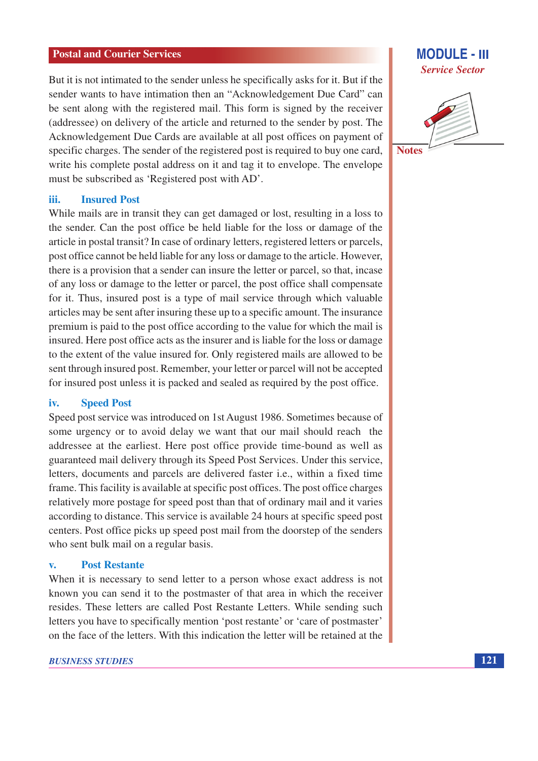But it is not intimated to the sender unless he specifically asks for it. But if the sender wants to have intimation then an "Acknowledgement Due Card" can be sent along with the registered mail. This form is signed by the receiver (addressee) on delivery of the article and returned to the sender by post. The Acknowledgement Due Cards are available at all post offices on payment of specific charges. The sender of the registered post is required to buy one card, write his complete postal address on it and tag it to envelope. The envelope must be subscribed as 'Registered post with AD'.

#### **Insured Post** iii.

While mails are in transit they can get damaged or lost, resulting in a loss to the sender. Can the post office be held liable for the loss or damage of the article in postal transit? In case of ordinary letters, registered letters or parcels, post office cannot be held liable for any loss or damage to the article. However, there is a provision that a sender can insure the letter or parcel, so that, incase of any loss or damage to the letter or parcel, the post office shall compensate for it. Thus, insured post is a type of mail service through which valuable articles may be sent after insuring these up to a specific amount. The insurance premium is paid to the post office according to the value for which the mail is insured. Here post office acts as the insurer and is liable for the loss or damage to the extent of the value insured for. Only registered mails are allowed to be sent through insured post. Remember, your letter or parcel will not be accepted for insured post unless it is packed and sealed as required by the post office.

#### iv. **Speed Post**

Speed post service was introduced on 1st August 1986. Sometimes because of some urgency or to avoid delay we want that our mail should reach the addressee at the earliest. Here post office provide time-bound as well as guaranteed mail delivery through its Speed Post Services. Under this service, letters, documents and parcels are delivered faster i.e., within a fixed time frame. This facility is available at specific post offices. The post office charges relatively more postage for speed post than that of ordinary mail and it varies according to distance. This service is available 24 hours at specific speed post centers. Post office picks up speed post mail from the doorstep of the senders who sent bulk mail on a regular basis.

#### $\mathbf{v}$ . **Post Restante**

When it is necessary to send letter to a person whose exact address is not known you can send it to the postmaster of that area in which the receiver resides. These letters are called Post Restante Letters. While sending such letters you have to specifically mention 'post restante' or 'care of postmaster' on the face of the letters. With this indication the letter will be retained at the

### **MODULE - III Service Sector**



**Notes**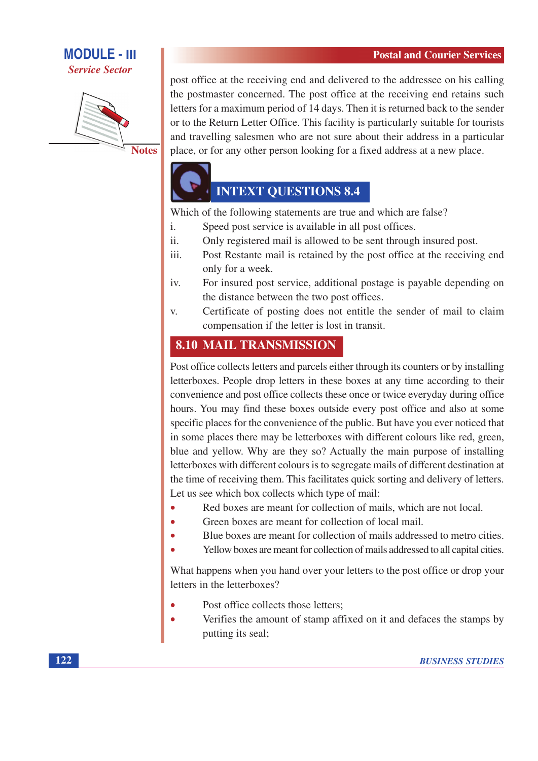**Service Sector** 



post office at the receiving end and delivered to the addressee on his calling the postmaster concerned. The post office at the receiving end retains such letters for a maximum period of 14 days. Then it is returned back to the sender or to the Return Letter Office. This facility is particularly suitable for tourists and travelling salesmen who are not sure about their address in a particular place, or for any other person looking for a fixed address at a new place.

# **INTEXT QUESTIONS 8.4**

Which of the following statements are true and which are false?

- $\mathbf{i}$ . Speed post service is available in all post offices.
- $ii.$ Only registered mail is allowed to be sent through insured post.
- Post Restante mail is retained by the post office at the receiving end iii. only for a week.
- For insured post service, additional postage is payable depending on iv. the distance between the two post offices.
- Certificate of posting does not entitle the sender of mail to claim V. compensation if the letter is lost in transit.

### **8.10 MAIL TRANSMISSION**

Post office collects letters and parcels either through its counters or by installing letterboxes. People drop letters in these boxes at any time according to their convenience and post office collects these once or twice everyday during office hours. You may find these boxes outside every post office and also at some specific places for the convenience of the public. But have you ever noticed that in some places there may be letterboxes with different colours like red, green, blue and yellow. Why are they so? Actually the main purpose of installing letterboxes with different colours is to segregate mails of different destination at the time of receiving them. This facilitates quick sorting and delivery of letters. Let us see which box collects which type of mail:

- Red boxes are meant for collection of mails, which are not local.
- Green boxes are meant for collection of local mail.  $\bullet$
- Blue boxes are meant for collection of mails addressed to metro cities.
- Yellow boxes are meant for collection of mails addressed to all capital cities.

What happens when you hand over your letters to the post office or drop your letters in the letterboxes?

- Post office collects those letters;
- Verifies the amount of stamp affixed on it and defaces the stamps by putting its seal;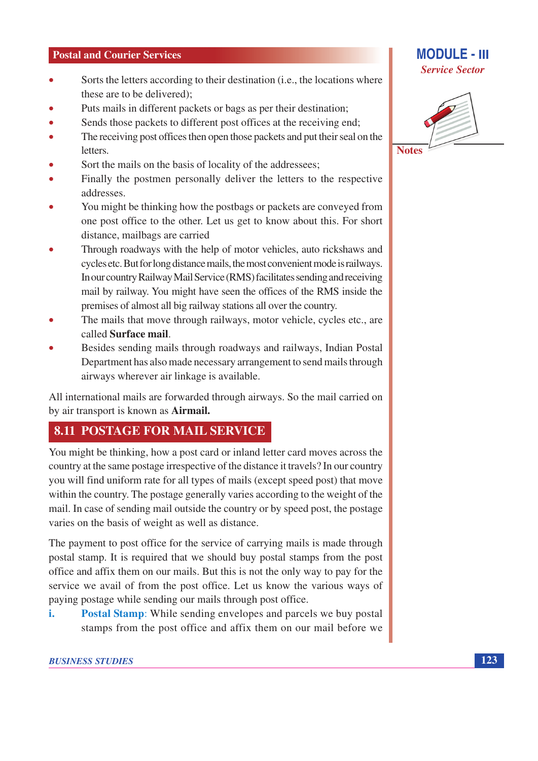- Sorts the letters according to their destination (*i.e.*, the locations where  $\blacksquare$ these are to be delivered);
- Puts mails in different packets or bags as per their destination;
- Sends those packets to different post offices at the receiving end;
- The receiving post offices then open those packets and put their seal on the **letters**
- Sort the mails on the basis of locality of the addressees;
- Finally the postmen personally deliver the letters to the respective addresses.
- You might be thinking how the postbags or packets are conveyed from one post office to the other. Let us get to know about this. For short distance, mailbags are carried
- Through roadways with the help of motor vehicles, auto rickshaws and cycles etc. But for long distance mails, the most convenient mode is railways. In our country Railway Mail Service (RMS) facilitates sending and receiving mail by railway. You might have seen the offices of the RMS inside the premises of almost all big railway stations all over the country.
- The mails that move through railways, motor vehicle, cycles etc., are called Surface mail.
- Besides sending mails through roadways and railways, Indian Postal Department has also made necessary arrangement to send mails through airways wherever air linkage is available.

All international mails are forwarded through airways. So the mail carried on by air transport is known as **Airmail.** 

## **8.11 POSTAGE FOR MAIL SERVICE**

You might be thinking, how a post card or inland letter card moves across the country at the same postage irrespective of the distance it travels? In our country you will find uniform rate for all types of mails (except speed post) that move within the country. The postage generally varies according to the weight of the mail. In case of sending mail outside the country or by speed post, the postage varies on the basis of weight as well as distance.

The payment to post office for the service of carrying mails is made through postal stamp. It is required that we should buy postal stamps from the post office and affix them on our mails. But this is not the only way to pay for the service we avail of from the post office. Let us know the various ways of paying postage while sending our mails through post office.

**Postal Stamp:** While sending envelopes and parcels we buy postal i. stamps from the post office and affix them on our mail before we

### **MODULE - III Service Sector**

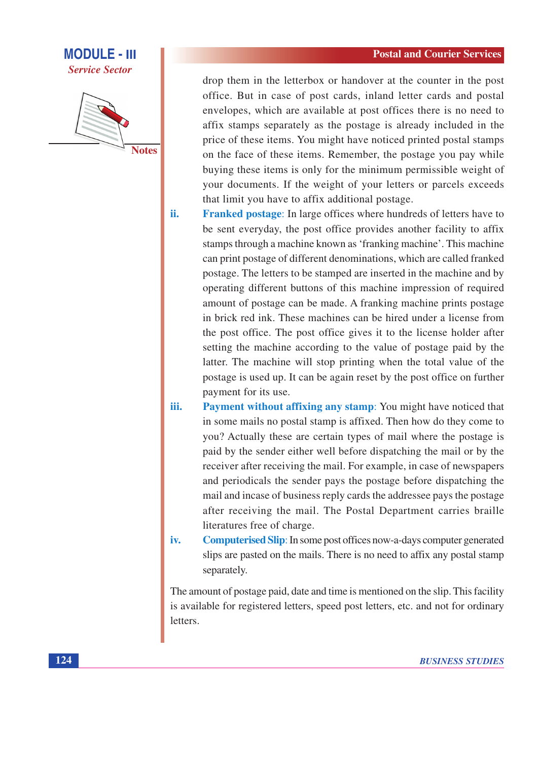

drop them in the letterbox or handover at the counter in the post office. But in case of post cards, inland letter cards and postal envelopes, which are available at post offices there is no need to affix stamps separately as the postage is already included in the price of these items. You might have noticed printed postal stamps on the face of these items. Remember, the postage you pay while buying these items is only for the minimum permissible weight of your documents. If the weight of your letters or parcels exceeds that limit you have to affix additional postage.

- ii. **Franked postage:** In large offices where hundreds of letters have to be sent everyday, the post office provides another facility to affix stamps through a machine known as 'franking machine'. This machine can print postage of different denominations, which are called franked postage. The letters to be stamped are inserted in the machine and by operating different buttons of this machine impression of required amount of postage can be made. A franking machine prints postage in brick red ink. These machines can be hired under a license from the post office. The post office gives it to the license holder after setting the machine according to the value of postage paid by the latter. The machine will stop printing when the total value of the postage is used up. It can be again reset by the post office on further payment for its use.
- iii. **Payment without affixing any stamp:** You might have noticed that in some mails no postal stamp is affixed. Then how do they come to you? Actually these are certain types of mail where the postage is paid by the sender either well before dispatching the mail or by the receiver after receiving the mail. For example, in case of newspapers and periodicals the sender pays the postage before dispatching the mail and incase of business reply cards the addressee pays the postage after receiving the mail. The Postal Department carries braille literatures free of charge.
- **Computerised Slip:** In some post offices now-a-days computer generated iv. slips are pasted on the mails. There is no need to affix any postal stamp separately.

The amount of postage paid, date and time is mentioned on the slip. This facility is available for registered letters, speed post letters, etc. and not for ordinary letters.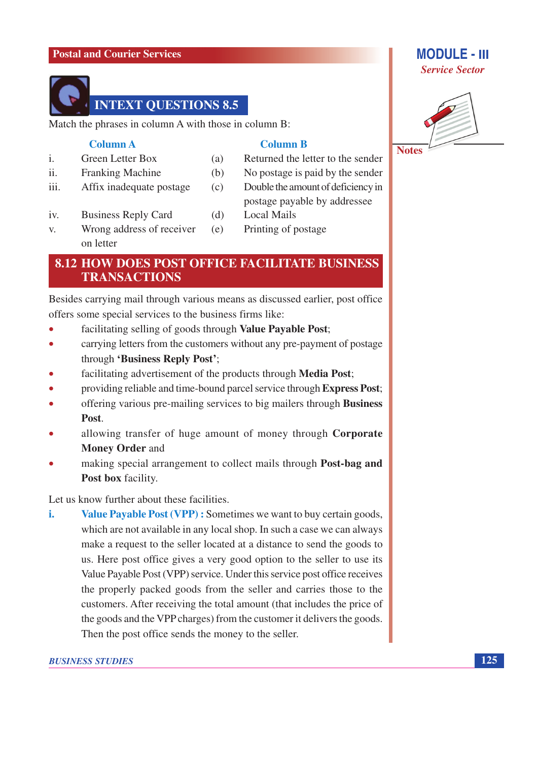

Match the phrases in column A with those in column B:

### **Column A**

 $ii.$ 

iii.

 $V_{\cdot}$ 

Green Letter Box  $\mathbf{i}$ **Franking Machine** 

### **Column B**

- Returned the letter to the sender
- No postage is paid by the sender  $(b)$ 
	- Double the amount of deficiency in postage payable by addressee
- **Business Reply Card**  $(d)$ iv.

Affix inadequate postage

- Wrong address of receiver  $(e)$ on letter
- **Local Mails** 
	- Printing of postage

### **8.12 HOW DOES POST OFFICE FACILITATE BUSINESS TRANSACTIONS**

 $(a)$ 

 $(c)$ 

Besides carrying mail through various means as discussed earlier, post office offers some special services to the business firms like:

- facilitating selling of goods through Value Payable Post;  $\bullet$
- carrying letters from the customers without any pre-payment of postage  $\bullet$ through 'Business Reply Post';
- facilitating advertisement of the products through **Media Post**;
- providing reliable and time-bound parcel service through Express Post;  $\bullet$
- offering various pre-mailing services to big mailers through Business  $\bullet$ Post.
- allowing transfer of huge amount of money through Corporate **Money Order and**
- making special arrangement to collect mails through Post-bag and Post box facility.

Let us know further about these facilities.

i. Value Payable Post (VPP): Sometimes we want to buy certain goods, which are not available in any local shop. In such a case we can always make a request to the seller located at a distance to send the goods to us. Here post office gives a very good option to the seller to use its Value Payable Post (VPP) service. Under this service post office receives the properly packed goods from the seller and carries those to the customers. After receiving the total amount (that includes the price of the goods and the VPP charges) from the customer it delivers the goods. Then the post office sends the money to the seller.

# **Service Sector**

**MODULE - III** 

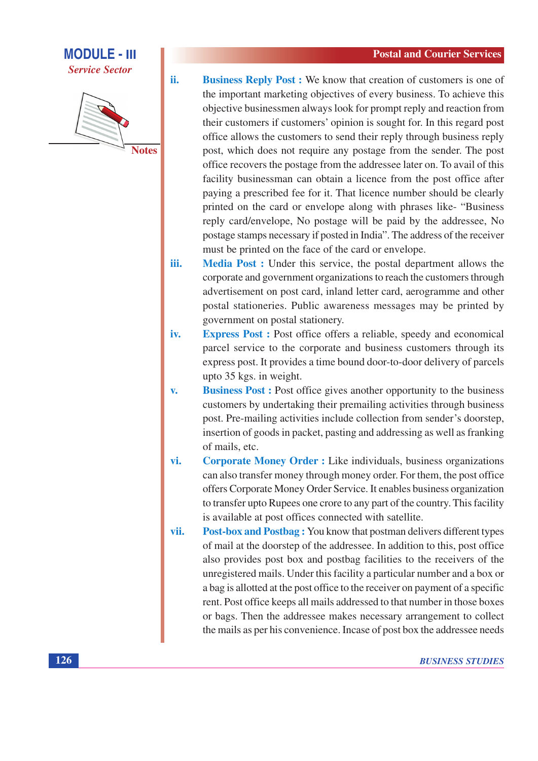**Service Sector** 

ii.



**Business Reply Post:** We know that creation of customers is one of the important marketing objectives of every business. To achieve this objective businessmen always look for prompt reply and reaction from their customers if customers' opinion is sought for. In this regard post office allows the customers to send their reply through business reply post, which does not require any postage from the sender. The post office recovers the postage from the addressee later on. To avail of this facility businessman can obtain a licence from the post office after paying a prescribed fee for it. That licence number should be clearly printed on the card or envelope along with phrases like- "Business" reply card/envelope, No postage will be paid by the addressee, No postage stamps necessary if posted in India". The address of the receiver must be printed on the face of the card or envelope.

Media Post : Under this service, the postal department allows the iii. corporate and government organizations to reach the customers through advertisement on post card, inland letter card, aerogramme and other postal stationeries. Public awareness messages may be printed by government on postal stationery.

- iv. **Express Post:** Post office offers a reliable, speedy and economical parcel service to the corporate and business customers through its express post. It provides a time bound door-to-door delivery of parcels upto 35 kgs. in weight.
- **Business Post:** Post office gives another opportunity to the business  $\overline{\mathbf{v}}$ . customers by undertaking their premailing activities through business post. Pre-mailing activities include collection from sender's doorstep, insertion of goods in packet, pasting and addressing as well as franking of mails, etc.
- **Corporate Money Order : Like individuals, business organizations** vi. can also transfer money through money order. For them, the post office offers Corporate Money Order Service. It enables business organization to transfer up to Rupees one crore to any part of the country. This facility is available at post offices connected with satellite.
- vii. **Post-box and Postbag:** You know that postman delivers different types of mail at the doorstep of the addressee. In addition to this, post office also provides post box and postbag facilities to the receivers of the unregistered mails. Under this facility a particular number and a box or a bag is allotted at the post office to the receiver on payment of a specific rent. Post office keeps all mails addressed to that number in those boxes or bags. Then the addressee makes necessary arrangement to collect the mails as per his convenience. Incase of post box the addressee needs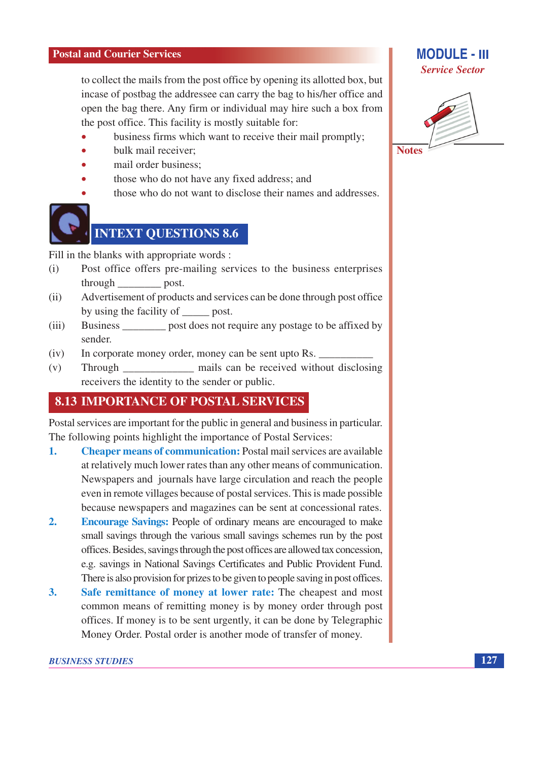to collect the mails from the post office by opening its allotted box, but incase of postbag the addressee can carry the bag to his/her office and open the bag there. Any firm or individual may hire such a box from the post office. This facility is mostly suitable for:

- business firms which want to receive their mail promptly;
- bulk mail receiver:
- mail order business:
- those who do not have any fixed address; and
- those who do not want to disclose their names and addresses.



# **INTEXT QUESTIONS 8.6**

Fill in the blanks with appropriate words :

- Post office offers pre-mailing services to the business enterprises  $(i)$ through post.
- Advertisement of products and services can be done through post office  $(ii)$ by using the facility of post.
- Business \_\_\_\_\_\_\_\_\_ post does not require any postage to be affixed by  $(iii)$ sender.
- In corporate money order, money can be sent upto Rs.  $(iv)$
- \_ mails can be received without disclosing  $(v)$ Through receivers the identity to the sender or public.

### **8.13 IMPORTANCE OF POSTAL SERVICES**

Postal services are important for the public in general and business in particular. The following points highlight the importance of Postal Services:

- $\mathbf{1}$ . **Cheaper means of communication:** Postal mail services are available at relatively much lower rates than any other means of communication. Newspapers and journals have large circulation and reach the people even in remote villages because of postal services. This is made possible because newspapers and magazines can be sent at concessional rates.
- $2.$ **Encourage Savings:** People of ordinary means are encouraged to make small savings through the various small savings schemes run by the post offices. Besides, savings through the post offices are allowed tax concession, e.g. savings in National Savings Certificates and Public Provident Fund. There is also provision for prizes to be given to people saving in post offices.
- $3.$ Safe remittance of money at lower rate: The cheapest and most common means of remitting money is by money order through post offices. If money is to be sent urgently, it can be done by Telegraphic Money Order. Postal order is another mode of transfer of money.

### **MODULE - III Service Sector**

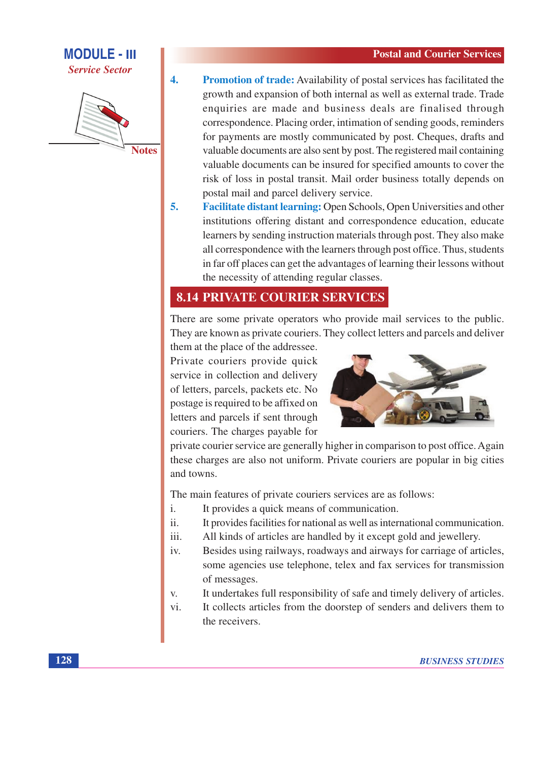

 $\overline{4}$ .

**Promotion of trade:** Availability of postal services has facilitated the growth and expansion of both internal as well as external trade. Trade enquiries are made and business deals are finalised through correspondence. Placing order, intimation of sending goods, reminders for payments are mostly communicated by post. Cheques, drafts and valuable documents are also sent by post. The registered mail containing valuable documents can be insured for specified amounts to cover the risk of loss in postal transit. Mail order business totally depends on postal mail and parcel delivery service.

5. Facilitate distant learning: Open Schools, Open Universities and other institutions offering distant and correspondence education, educate learners by sending instruction materials through post. They also make all correspondence with the learners through post office. Thus, students in far off places can get the advantages of learning their lessons without the necessity of attending regular classes.

## **8.14 PRIVATE COURIER SERVICES**

There are some private operators who provide mail services to the public. They are known as private couriers. They collect letters and parcels and deliver

them at the place of the addressee. Private couriers provide quick service in collection and delivery of letters, parcels, packets etc. No postage is required to be affixed on letters and parcels if sent through couriers. The charges payable for



private courier service are generally higher in comparison to post office. Again these charges are also not uniform. Private couriers are popular in big cities and towns.

The main features of private couriers services are as follows:

- i. It provides a quick means of communication.
- $ii.$ It provides facilities for national as well as international communication.
- All kinds of articles are handled by it except gold and jewellery. iii.
- Besides using railways, roadways and airways for carriage of articles,  $iv$ some agencies use telephone, telex and fax services for transmission of messages.
- It undertakes full responsibility of safe and timely delivery of articles. V.
- vi. It collects articles from the doorstep of senders and delivers them to the receivers.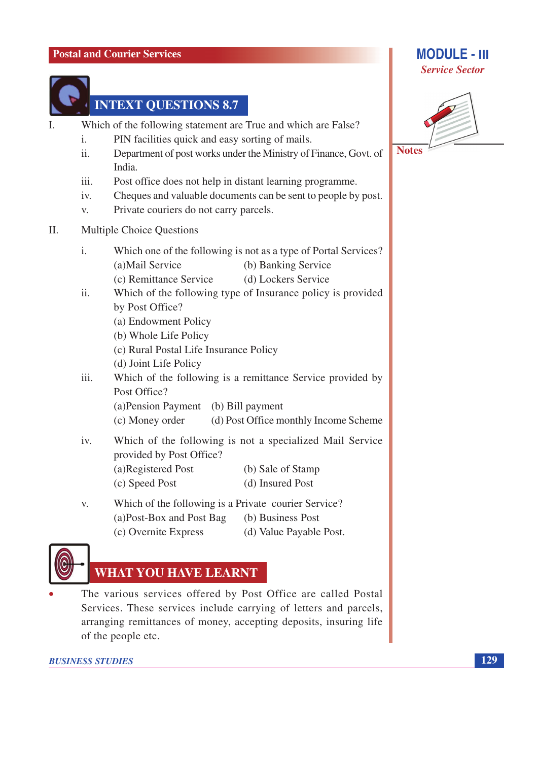

## **INTEXT QUESTIONS 8.7**

- Which of the following statement are True and which are False?  $\mathbf{I}$ 
	- $\mathbf{i}$ . PIN facilities quick and easy sorting of mails.
	- $ii.$ Department of post works under the Ministry of Finance, Govt. of India.
	- Post office does not help in distant learning programme.  $\overline{111}$ .
	- Cheques and valuable documents can be sent to people by post.  $iv$
	- V. Private couriers do not carry parcels.
- II. **Multiple Choice Questions** 
	- $\mathbf{i}$ . Which one of the following is not as a type of Portal Services? (a)Mail Service (b) Banking Service
		- (c) Remittance Service (d) Lockers Service
	- $ii.$ Which of the following type of Insurance policy is provided by Post Office?
		- (a) Endowment Policy
		- (b) Whole Life Policy
		- (c) Rural Postal Life Insurance Policy
		- (d) Joint Life Policy
	- iii. Which of the following is a remittance Service provided by Post Office?
		- (a) Pension Payment (b) Bill payment
		- (c) Money order (d) Post Office monthly Income Scheme
	- iv. Which of the following is not a specialized Mail Service provided by Post Office? (a)Registered Post (b) Sale of Stamp (d) Insured Post (c) Speed Post
	- Which of the following is a Private courier Service? V. (a)Post-Box and Post Bag (b) Business Post (c) Overnite Express (d) Value Payable Post.



## **WHAT YOU HAVE LEARNT**

The various services offered by Post Office are called Postal Services. These services include carrying of letters and parcels, arranging remittances of money, accepting deposits, insuring life of the people etc.

### **BUSINESS STUDIES**

### **MODULE - III Service Sector**

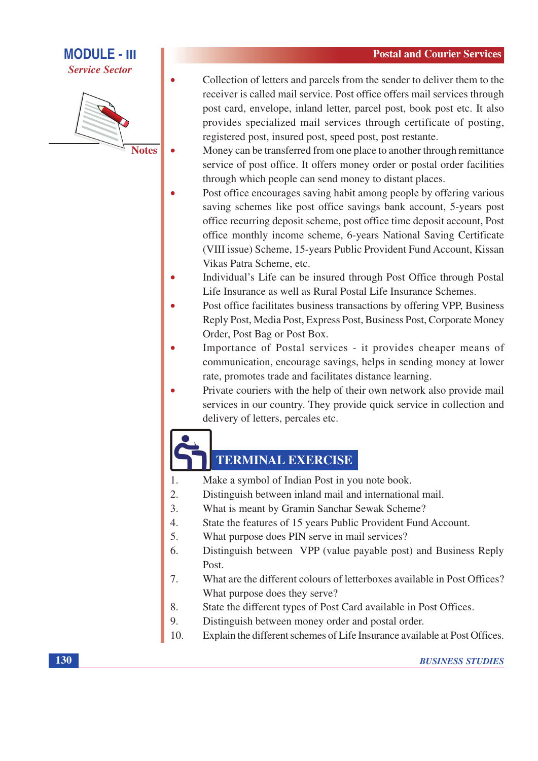**Service Sector** 



**Notes** 

- Collection of letters and parcels from the sender to deliver them to the receiver is called mail service. Post office offers mail services through post card, envelope, inland letter, parcel post, book post etc. It also provides specialized mail services through certificate of posting, registered post, insured post, speed post, post restante.
- Money can be transferred from one place to another through remittance service of post office. It offers money order or postal order facilities through which people can send money to distant places.
- Post office encourages saving habit among people by offering various saving schemes like post office savings bank account, 5-years post office recurring deposit scheme, post office time deposit account, Post office monthly income scheme, 6-years National Saving Certificate (VIII issue) Scheme, 15-years Public Provident Fund Account, Kissan Vikas Patra Scheme, etc.
- Individual's Life can be insured through Post Office through Postal  $\bullet$ Life Insurance as well as Rural Postal Life Insurance Schemes.
- Post office facilitates business transactions by offering VPP, Business Reply Post, Media Post, Express Post, Business Post, Corporate Money Order, Post Bag or Post Box.
- Importance of Postal services it provides cheaper means of communication, encourage savings, helps in sending money at lower rate, promotes trade and facilitates distance learning.
- Private couriers with the help of their own network also provide mail services in our country. They provide quick service in collection and delivery of letters, percales etc.

## **TERMINAL EXERCISE**

- Make a symbol of Indian Post in you note book. 1.
- $\overline{2}$ . Distinguish between inland mail and international mail.
- 3. What is meant by Gramin Sanchar Sewak Scheme?
- $\overline{4}$ . State the features of 15 years Public Provident Fund Account.
- 5. What purpose does PIN serve in mail services?
- Distinguish between VPP (value payable post) and Business Reply 6. Post.
- What are the different colours of letterboxes available in Post Offices? 7. What purpose does they serve?
- 8. State the different types of Post Card available in Post Offices.
- 9. Distinguish between money order and postal order.
- 10. Explain the different schemes of Life Insurance available at Post Offices.